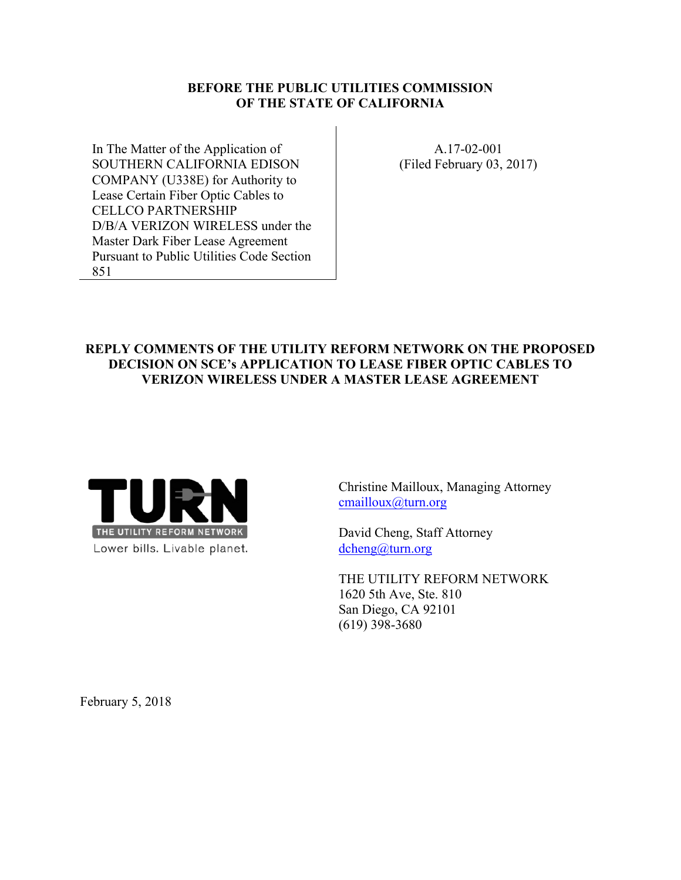### **BEFORE THE PUBLIC UTILITIES COMMISSION OF THE STATE OF CALIFORNIA**

In The Matter of the Application of SOUTHERN CALIFORNIA EDISON COMPANY (U338E) for Authority to Lease Certain Fiber Optic Cables to CELLCO PARTNERSHIP D/B/A VERIZON WIRELESS under the Master Dark Fiber Lease Agreement Pursuant to Public Utilities Code Section 851

A.17-02-001 (Filed February 03, 2017)

## **REPLY COMMENTS OF THE UTILITY REFORM NETWORK ON THE PROPOSED DECISION ON SCE's APPLICATION TO LEASE FIBER OPTIC CABLES TO VERIZON WIRELESS UNDER A MASTER LEASE AGREEMENT**



Christine Mailloux, Managing Attorney cmailloux@turn.org

David Cheng, Staff Attorney dcheng@turn.org

THE UTILITY REFORM NETWORK 1620 5th Ave, Ste. 810 San Diego, CA 92101 (619) 398-3680

February 5, 2018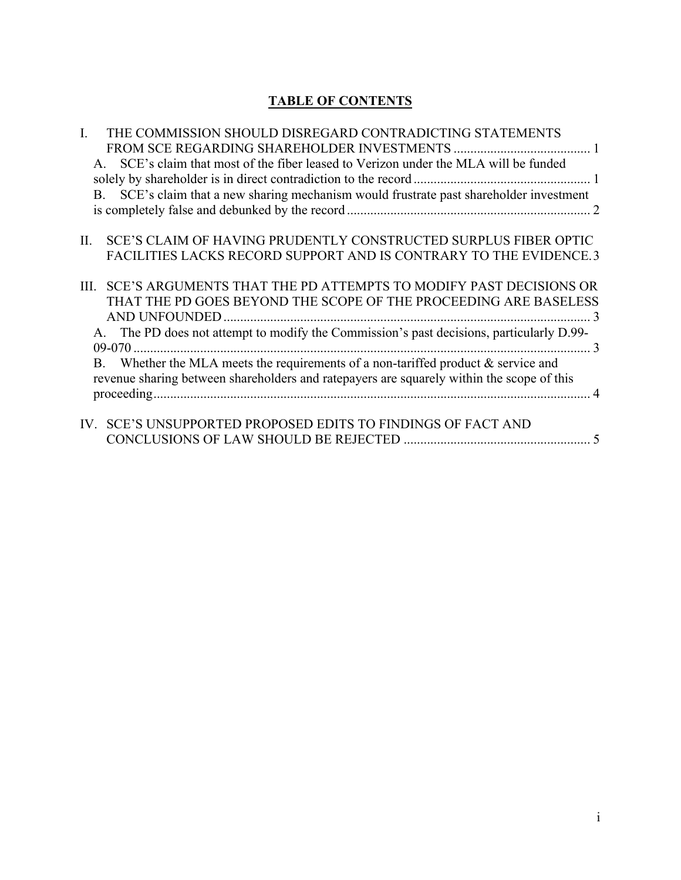# **TABLE OF CONTENTS**

|              | THE COMMISSION SHOULD DISREGARD CONTRADICTING STATEMENTS                                                                                                                          |  |
|--------------|-----------------------------------------------------------------------------------------------------------------------------------------------------------------------------------|--|
|              |                                                                                                                                                                                   |  |
|              | A. SCE's claim that most of the fiber leased to Verizon under the MLA will be funded                                                                                              |  |
|              |                                                                                                                                                                                   |  |
|              | B. SCE's claim that a new sharing mechanism would frustrate past shareholder investment                                                                                           |  |
|              |                                                                                                                                                                                   |  |
|              |                                                                                                                                                                                   |  |
| $II$ .       | SCE'S CLAIM OF HAVING PRUDENTLY CONSTRUCTED SURPLUS FIBER OPTIC                                                                                                                   |  |
|              | <b>FACILITIES LACKS RECORD SUPPORT AND IS CONTRARY TO THE EVIDENCE.3</b>                                                                                                          |  |
| $\mathbf{H}$ | SCE'S ARGUMENTS THAT THE PD ATTEMPTS TO MODIFY PAST DECISIONS OR                                                                                                                  |  |
|              | THAT THE PD GOES BEYOND THE SCOPE OF THE PROCEEDING ARE BASELESS                                                                                                                  |  |
|              | <b>AND UNFOUNDED</b>                                                                                                                                                              |  |
|              | A. The PD does not attempt to modify the Commission's past decisions, particularly D.99-                                                                                          |  |
|              |                                                                                                                                                                                   |  |
|              | B. Whether the MLA meets the requirements of a non-tariffed product $\&$ service and<br>revenue sharing between shareholders and ratepayers are squarely within the scope of this |  |
|              |                                                                                                                                                                                   |  |
|              |                                                                                                                                                                                   |  |
|              | IV. SCE'S UNSUPPORTED PROPOSED EDITS TO FINDINGS OF FACT AND                                                                                                                      |  |
|              |                                                                                                                                                                                   |  |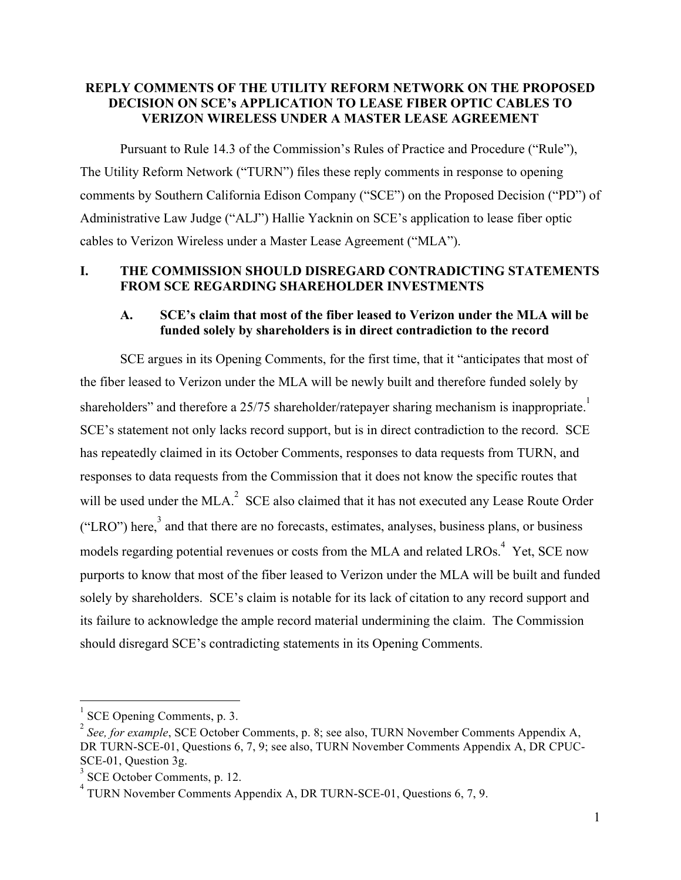# **REPLY COMMENTS OF THE UTILITY REFORM NETWORK ON THE PROPOSED DECISION ON SCE's APPLICATION TO LEASE FIBER OPTIC CABLES TO VERIZON WIRELESS UNDER A MASTER LEASE AGREEMENT**

Pursuant to Rule 14.3 of the Commission's Rules of Practice and Procedure ("Rule"), The Utility Reform Network ("TURN") files these reply comments in response to opening comments by Southern California Edison Company ("SCE") on the Proposed Decision ("PD") of Administrative Law Judge ("ALJ") Hallie Yacknin on SCE's application to lease fiber optic cables to Verizon Wireless under a Master Lease Agreement ("MLA").

# **I. THE COMMISSION SHOULD DISREGARD CONTRADICTING STATEMENTS FROM SCE REGARDING SHAREHOLDER INVESTMENTS**

# **A. SCE's claim that most of the fiber leased to Verizon under the MLA will be funded solely by shareholders is in direct contradiction to the record**

SCE argues in its Opening Comments, for the first time, that it "anticipates that most of the fiber leased to Verizon under the MLA will be newly built and therefore funded solely by shareholders" and therefore a 25/75 shareholder/ratepayer sharing mechanism is inappropriate.<sup>1</sup> SCE's statement not only lacks record support, but is in direct contradiction to the record. SCE has repeatedly claimed in its October Comments, responses to data requests from TURN, and responses to data requests from the Commission that it does not know the specific routes that will be used under the MLA. $^{2}$  SCE also claimed that it has not executed any Lease Route Order ("LRO") here,  $3$  and that there are no forecasts, estimates, analyses, business plans, or business models regarding potential revenues or costs from the MLA and related LROs.<sup>4</sup> Yet, SCE now purports to know that most of the fiber leased to Verizon under the MLA will be built and funded solely by shareholders. SCE's claim is notable for its lack of citation to any record support and its failure to acknowledge the ample record material undermining the claim. The Commission should disregard SCE's contradicting statements in its Opening Comments.

 $\frac{1}{1}$ SCE Opening Comments, p. 3.

<sup>2</sup> *See, for example*, SCE October Comments, p. 8; see also, TURN November Comments Appendix A, DR TURN-SCE-01, Questions 6, 7, 9; see also, TURN November Comments Appendix A, DR CPUC-SCE-01, Question 3g.

 $\frac{3}{4}$  SCE October Comments, p. 12.

TURN November Comments Appendix A, DR TURN-SCE-01, Questions 6, 7, 9.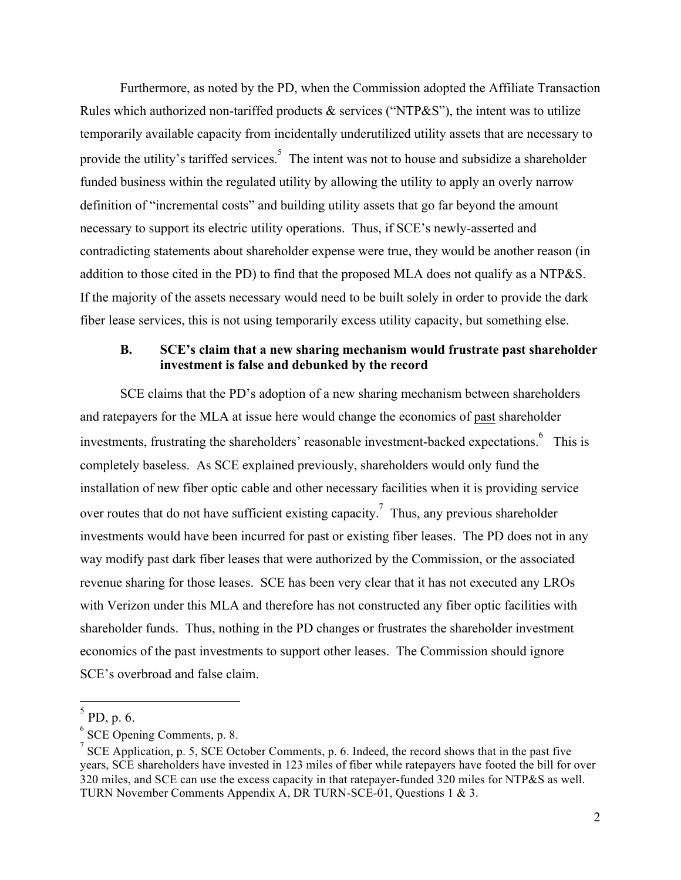Furthermore, as noted by the PD, when the Commission adopted the Affiliate Transaction Rules which authorized non-tariffed products  $\&$  services ("NTP $\&$ S"), the intent was to utilize temporarily available capacity from incidentally underutilized utility assets that are necessary to provide the utility's tariffed services.<sup>5</sup> The intent was not to house and subsidize a shareholder funded business within the regulated utility by allowing the utility to apply an overly narrow definition of "incremental costs" and building utility assets that go far beyond the amount necessary to support its electric utility operations. Thus, if SCE's newly-asserted and contradicting statements about shareholder expense were true, they would be another reason (in addition to those cited in the PD) to find that the proposed MLA does not qualify as a NTP&S. If the majority of the assets necessary would need to be built solely in order to provide the dark fiber lease services, this is not using temporarily excess utility capacity, but something else.

#### **B. SCE's claim that a new sharing mechanism would frustrate past shareholder investment is false and debunked by the record**

SCE claims that the PD's adoption of a new sharing mechanism between shareholders and ratepayers for the MLA at issue here would change the economics of past shareholder investments, frustrating the shareholders' reasonable investment-backed expectations. <sup>6</sup> This is completely baseless. As SCE explained previously, shareholders would only fund the installation of new fiber optic cable and other necessary facilities when it is providing service over routes that do not have sufficient existing capacity.<sup>7</sup> Thus, any previous shareholder investments would have been incurred for past or existing fiber leases. The PD does not in any way modify past dark fiber leases that were authorized by the Commission, or the associated revenue sharing for those leases. SCE has been very clear that it has not executed any LROs with Verizon under this MLA and therefore has not constructed any fiber optic facilities with shareholder funds. Thus, nothing in the PD changes or frustrates the shareholder investment economics of the past investments to support other leases. The Commission should ignore SCE's overbroad and false claim.

 $\frac{1}{5}$ PD, p. 6.

<sup>6</sup> SCE Opening Comments, p. 8.

<sup>&</sup>lt;sup>7</sup> SCE Application, p. 5, SCE October Comments, p. 6. Indeed, the record shows that in the past five years, SCE shareholders have invested in 123 miles of fiber while ratepayers have footed the bill for over 320 miles, and SCE can use the excess capacity in that ratepayer-funded 320 miles for NTP&S as well. TURN November Comments Appendix A, DR TURN-SCE-01, Questions 1 & 3.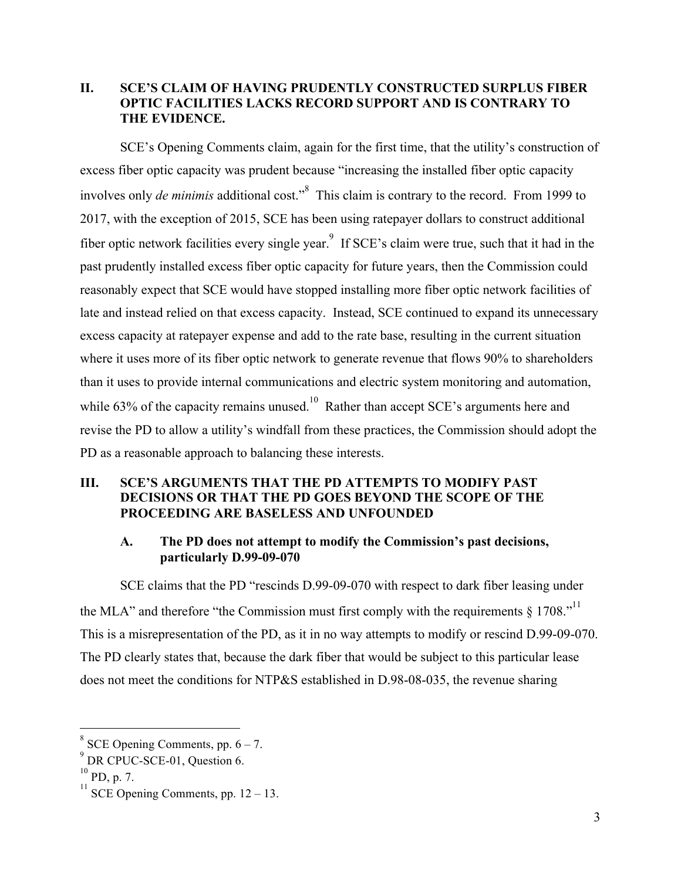## **II. SCE'S CLAIM OF HAVING PRUDENTLY CONSTRUCTED SURPLUS FIBER OPTIC FACILITIES LACKS RECORD SUPPORT AND IS CONTRARY TO THE EVIDENCE.**

SCE's Opening Comments claim, again for the first time, that the utility's construction of excess fiber optic capacity was prudent because "increasing the installed fiber optic capacity involves only *de minimis* additional cost."<sup>8</sup> This claim is contrary to the record. From 1999 to 2017, with the exception of 2015, SCE has been using ratepayer dollars to construct additional fiber optic network facilities every single year. If SCE's claim were true, such that it had in the past prudently installed excess fiber optic capacity for future years, then the Commission could reasonably expect that SCE would have stopped installing more fiber optic network facilities of late and instead relied on that excess capacity. Instead, SCE continued to expand its unnecessary excess capacity at ratepayer expense and add to the rate base, resulting in the current situation where it uses more of its fiber optic network to generate revenue that flows 90% to shareholders than it uses to provide internal communications and electric system monitoring and automation, while 63% of the capacity remains unused.<sup>10</sup> Rather than accept SCE's arguments here and revise the PD to allow a utility's windfall from these practices, the Commission should adopt the PD as a reasonable approach to balancing these interests.

# **III. SCE'S ARGUMENTS THAT THE PD ATTEMPTS TO MODIFY PAST DECISIONS OR THAT THE PD GOES BEYOND THE SCOPE OF THE PROCEEDING ARE BASELESS AND UNFOUNDED**

# **A. The PD does not attempt to modify the Commission's past decisions, particularly D.99-09-070**

SCE claims that the PD "rescinds D.99-09-070 with respect to dark fiber leasing under the MLA" and therefore "the Commission must first comply with the requirements  $\S 1708$ ." This is a misrepresentation of the PD, as it in no way attempts to modify or rescind D.99-09-070. The PD clearly states that, because the dark fiber that would be subject to this particular lease does not meet the conditions for NTP&S established in D.98-08-035, the revenue sharing

 <sup>8</sup> SCE Opening Comments, pp.  $6 - 7$ .

<sup>9</sup>  $\bigcirc$ <sup>9</sup> DR CPUC-SCE-01, Question 6. <sup>10</sup> PD, p. 7.

<sup>&</sup>lt;sup>11</sup> SCE Opening Comments, pp.  $12 - 13$ .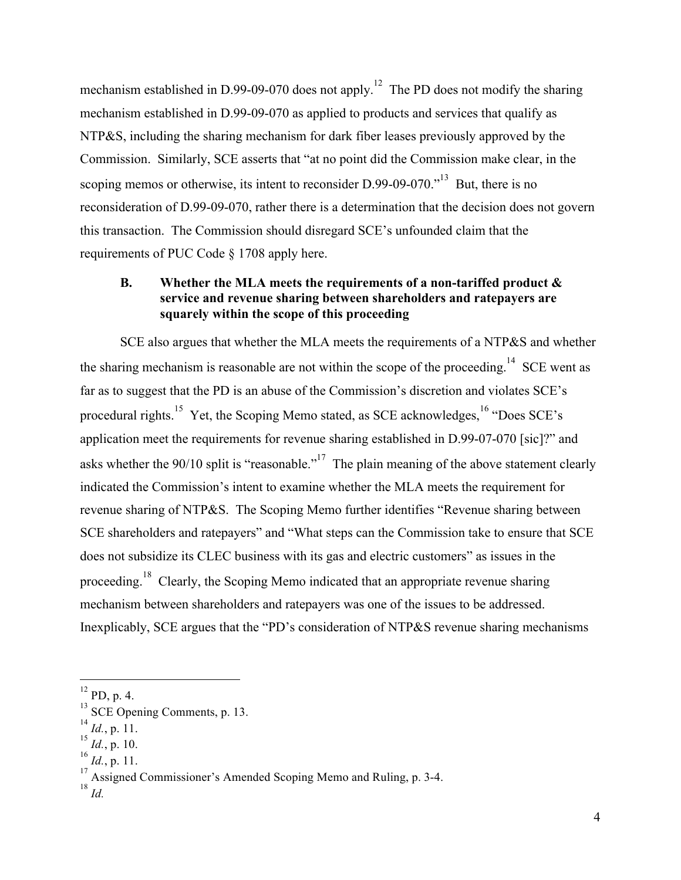mechanism established in D.99-09-070 does not apply.<sup>12</sup> The PD does not modify the sharing mechanism established in D.99-09-070 as applied to products and services that qualify as NTP&S, including the sharing mechanism for dark fiber leases previously approved by the Commission. Similarly, SCE asserts that "at no point did the Commission make clear, in the scoping memos or otherwise, its intent to reconsider  $D.99-09-070$ .<sup> $13$ </sup> But, there is no reconsideration of D.99-09-070, rather there is a determination that the decision does not govern this transaction. The Commission should disregard SCE's unfounded claim that the requirements of PUC Code § 1708 apply here.

# **B. Whether the MLA meets the requirements of a non-tariffed product & service and revenue sharing between shareholders and ratepayers are squarely within the scope of this proceeding**

SCE also argues that whether the MLA meets the requirements of a NTP&S and whether the sharing mechanism is reasonable are not within the scope of the proceeding.<sup>14</sup> SCE went as far as to suggest that the PD is an abuse of the Commission's discretion and violates SCE's procedural rights.<sup>15</sup> Yet, the Scoping Memo stated, as SCE acknowledges, <sup>16</sup> "Does SCE's application meet the requirements for revenue sharing established in D.99-07-070 [sic]?" and asks whether the 90/10 split is "reasonable."<sup>17</sup> The plain meaning of the above statement clearly indicated the Commission's intent to examine whether the MLA meets the requirement for revenue sharing of NTP&S. The Scoping Memo further identifies "Revenue sharing between SCE shareholders and ratepayers" and "What steps can the Commission take to ensure that SCE does not subsidize its CLEC business with its gas and electric customers" as issues in the proceeding.<sup>18</sup> Clearly, the Scoping Memo indicated that an appropriate revenue sharing mechanism between shareholders and ratepayers was one of the issues to be addressed. Inexplicably, SCE argues that the "PD's consideration of NTP&S revenue sharing mechanisms

 $^{12}$  PD, p. 4.

<sup>&</sup>lt;sup>13</sup> SCE Opening Comments, p. 13.

<sup>14</sup> *Id.*, p. 11.

<sup>15</sup> *Id.*, p. 10.

<sup>16</sup> *Id.*, p. 11.

<sup>&</sup>lt;sup>17</sup> Assigned Commissioner's Amended Scoping Memo and Ruling, p. 3-4.<br><sup>18</sup> *Id*